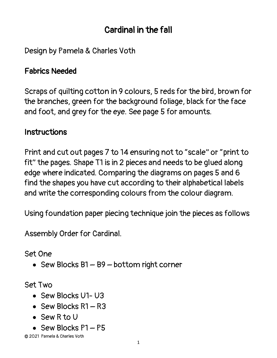## Cardinal in the fall

Design by Pamela & Charles Voth

## Fabrics Needed

Scraps of quilting cotton in 9 colours, 5 reds for the bird, brown for the branches, green for the background foliage, black for the face and foot, and grey for the eye. See page 5 for amounts.

## **Instructions**

Print and cut out pages 7 to 14 ensuring not to "scale" or "print to fit" the pages. Shape T1 is in 2 pieces and needs to be glued along edge where indicated. Comparing the diagrams on pages 5 and 6 find the shapes you have cut according to their alphabetical labels and write the corresponding colours from the colour diagram.

Using foundation paper piecing technique join the pieces as follows

Assembly Order for Cardinal.

Set One

• Sew Blocks B1 – B9 – bottom right corner

Set Two

- Sew Blocks U1- U3
- Sew Blocks  $R1 R3$
- Sew R to U
- Sew Blocks P1 P5

© 2021 Pamela & Charles Voth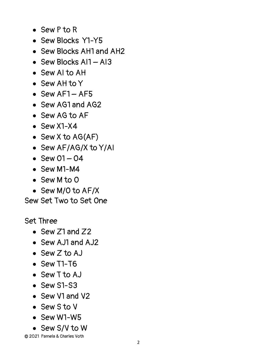- Sew P to R
- Sew Blocks Y1-Y5
- Sew Blocks AH1 and AH2
- $\bullet$  Sew Blocks AI1 AI3
- Sew AI to AH
- Sew AH to Y
- $\bullet$  Sew AF1 AF5
- Sew AG1 and AG2
- Sew AG to AF
- Sew X1-X4
- Sew X to AG(AF)
- Sew AF/AG/X to Y/AI
- Sew  $01 04$
- Sew M1-M4
- Sew M to O
- Sew M/O to AF/X

Sew Set Two to Set One

Set Three

- Sew Z1 and Z2
- Sew AJ1 and AJ2
- Sew Z to AJ
- Sew T1-T6
- Sew T to AJ
- Sew S1-S3
- Sew V1 and V2
- Sew S to V
- Sew W1-W5
- Sew S/V to W

© 2021 Pamela & Charles Voth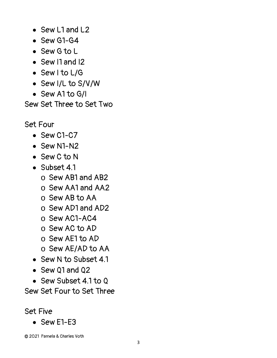- Sew L1 and L2
- Sew G1-G4
- Sew G to L
- Sew I1 and I2
- Sew I to L/G
- Sew I/L to S/V/W
- Sew A1 to G/I

Sew Set Three to Set Two

Set Four

- Sew C1-C7
- Sew N1-N2
- Sew C to N
- Subset 4.1
	- o Sew AB1 and AB2
	- o Sew AA1 and AA2
	- o Sew AB to AA
	- o Sew AD1 and AD2
	- o Sew AC1-AC4
	- o Sew AC to AD
	- o Sew AE1 to AD
	- o Sew AE/AD to AA
- Sew N to Subset 4.1
- Sew Q1 and Q2
- Sew Subset 4.1 to Q

Sew Set Four to Set Three

## Set Five

• Sew E1-E3

© 2021 Pamela & Charles Voth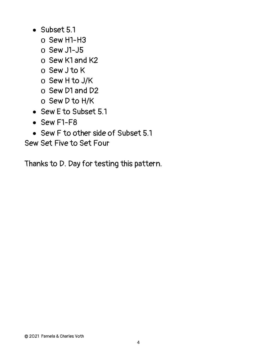- Subset 5.1
	- o Sew H1-H3
	- o Sew J1-J5
	- o Sew K1 and K2
	- o Sew J to K
	- o Sew H to J/K
	- o Sew D1 and D2
	- o Sew D to H/K
- Sew E to Subset 5.1
- Sew F1-F8
- Sew F to other side of Subset 5.1

Sew Set Five to Set Four

Thanks to D. Day for testing this pattern.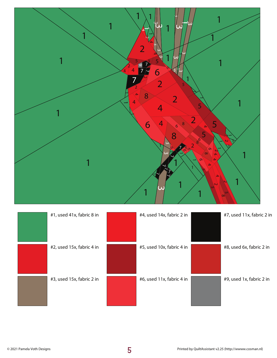

| #1, used 41x, fabric 8 in | #4, used 14x, fabric 2 in | #7, used 11x, fabric 2 in |
|---------------------------|---------------------------|---------------------------|
| #2, used 15x, fabric 4 in | #5, used 10x, fabric 4 in | #8, used 6x, fabric 2 in  |
| #3, used 15x, fabric 2 in | #6, used 11x, fabric 4 in | #9, used 1x, fabric 2 in  |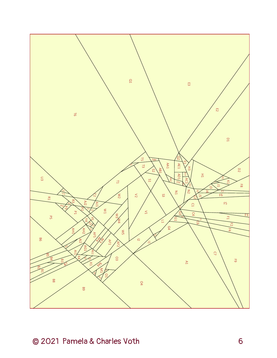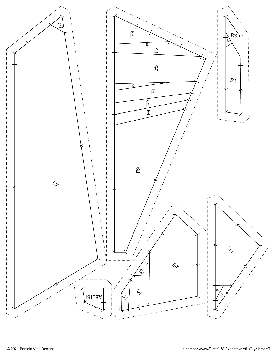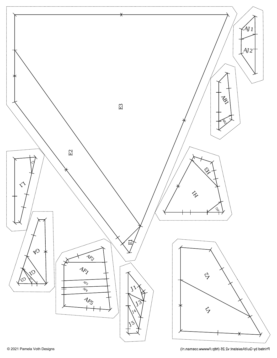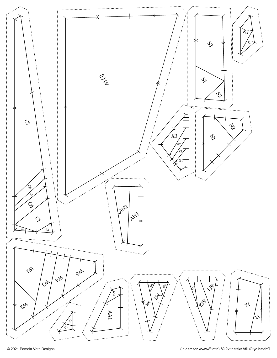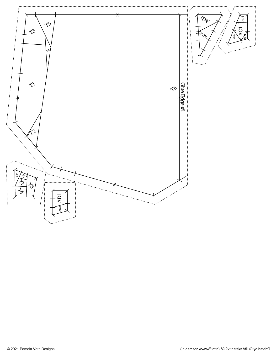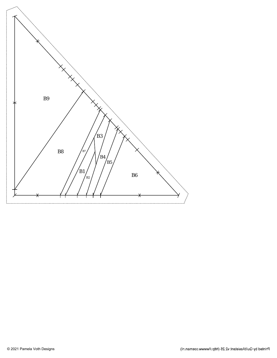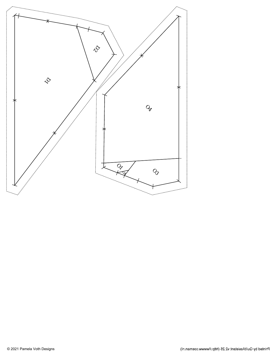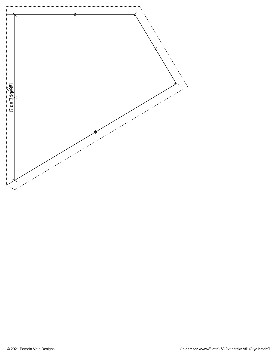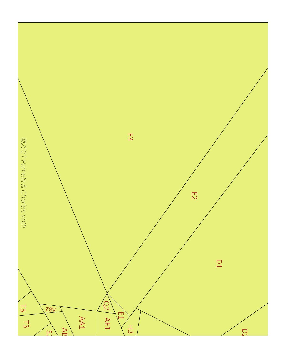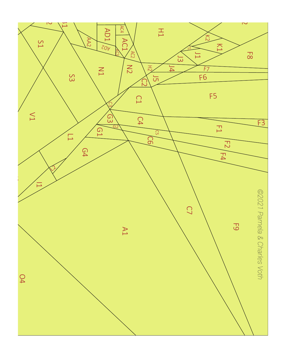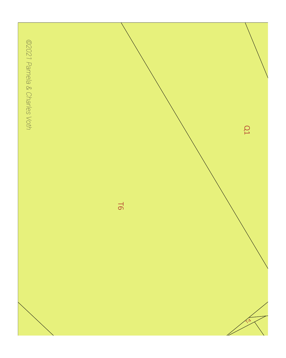